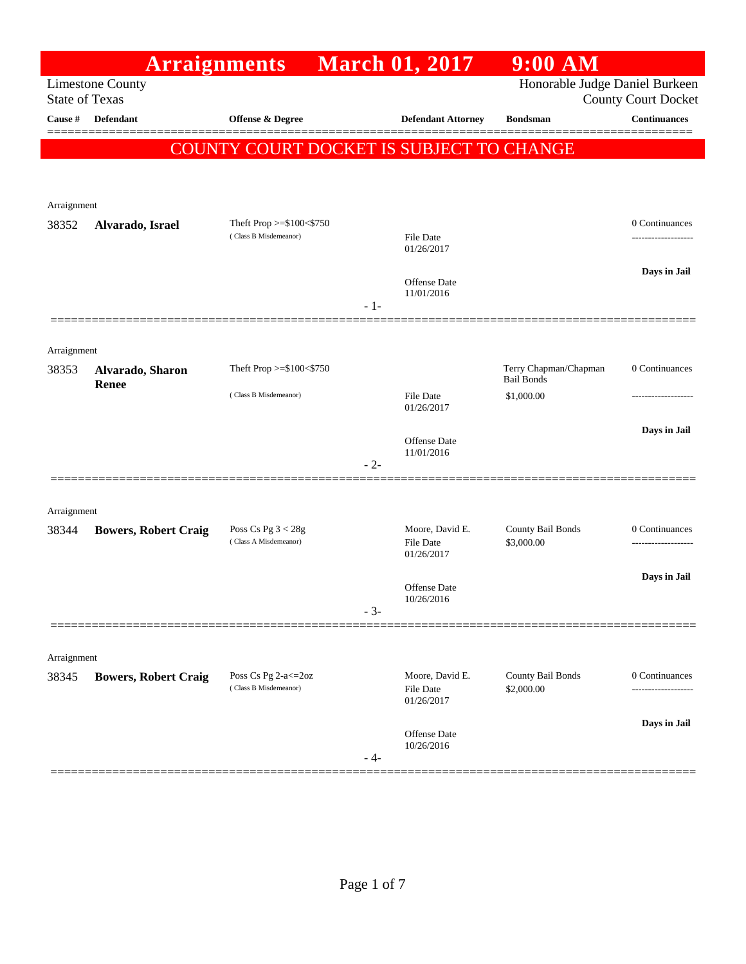|                       | <b>Arraignments</b>              |                                                |       | <b>March 01, 2017</b>                             | $9:00$ AM                                  |                            |
|-----------------------|----------------------------------|------------------------------------------------|-------|---------------------------------------------------|--------------------------------------------|----------------------------|
| <b>State of Texas</b> | <b>Limestone County</b>          |                                                |       |                                                   | Honorable Judge Daniel Burkeen             | <b>County Court Docket</b> |
| Cause #               | Defendant                        | Offense & Degree                               |       | <b>Defendant Attorney</b>                         | <b>Bondsman</b>                            | <b>Continuances</b>        |
|                       |                                  |                                                |       | COUNTY COURT DOCKET IS SUBJECT TO CHANGE          |                                            |                            |
|                       |                                  |                                                |       |                                                   |                                            |                            |
| Arraignment           |                                  |                                                |       |                                                   |                                            |                            |
| 38352                 | Alvarado, Israel                 | Theft Prop >=\$100<\$750                       |       |                                                   |                                            | 0 Continuances             |
|                       |                                  | (Class B Misdemeanor)                          |       | <b>File Date</b><br>01/26/2017                    |                                            |                            |
|                       |                                  |                                                |       | Offense Date<br>11/01/2016                        |                                            | Days in Jail               |
|                       |                                  |                                                | $-1-$ |                                                   |                                            |                            |
| Arraignment           |                                  |                                                |       |                                                   |                                            |                            |
| 38353                 | Alvarado, Sharon<br><b>Renee</b> | Theft Prop >=\$100<\$750                       |       |                                                   | Terry Chapman/Chapman<br><b>Bail Bonds</b> | 0 Continuances             |
|                       |                                  | (Class B Misdemeanor)                          |       | <b>File Date</b><br>01/26/2017                    | \$1,000.00                                 |                            |
|                       |                                  |                                                |       |                                                   |                                            | Days in Jail               |
|                       |                                  |                                                |       | Offense Date<br>11/01/2016                        |                                            |                            |
|                       |                                  |                                                | $-2-$ |                                                   |                                            |                            |
| Arraignment           |                                  |                                                |       |                                                   |                                            |                            |
| 38344                 | <b>Bowers, Robert Craig</b>      | Poss Cs Pg $3 < 28g$<br>(Class A Misdemeanor)  |       | Moore, David E.<br>File Date<br>01/26/2017        | County Bail Bonds<br>\$3,000.00            | 0 Continuances<br>         |
|                       |                                  |                                                |       |                                                   |                                            | Days in Jail               |
|                       |                                  |                                                |       | Offense Date<br>10/26/2016                        |                                            |                            |
|                       |                                  |                                                | $-3-$ |                                                   |                                            |                            |
| Arraignment           |                                  |                                                |       |                                                   |                                            |                            |
| 38345                 | <b>Bowers, Robert Craig</b>      | Poss Cs Pg 2-a <= 20z<br>(Class B Misdemeanor) |       | Moore, David E.<br><b>File Date</b><br>01/26/2017 | County Bail Bonds<br>\$2,000.00            | 0 Continuances             |
|                       |                                  |                                                |       |                                                   |                                            | Days in Jail               |
|                       |                                  |                                                | - 4-  | Offense Date<br>10/26/2016                        |                                            |                            |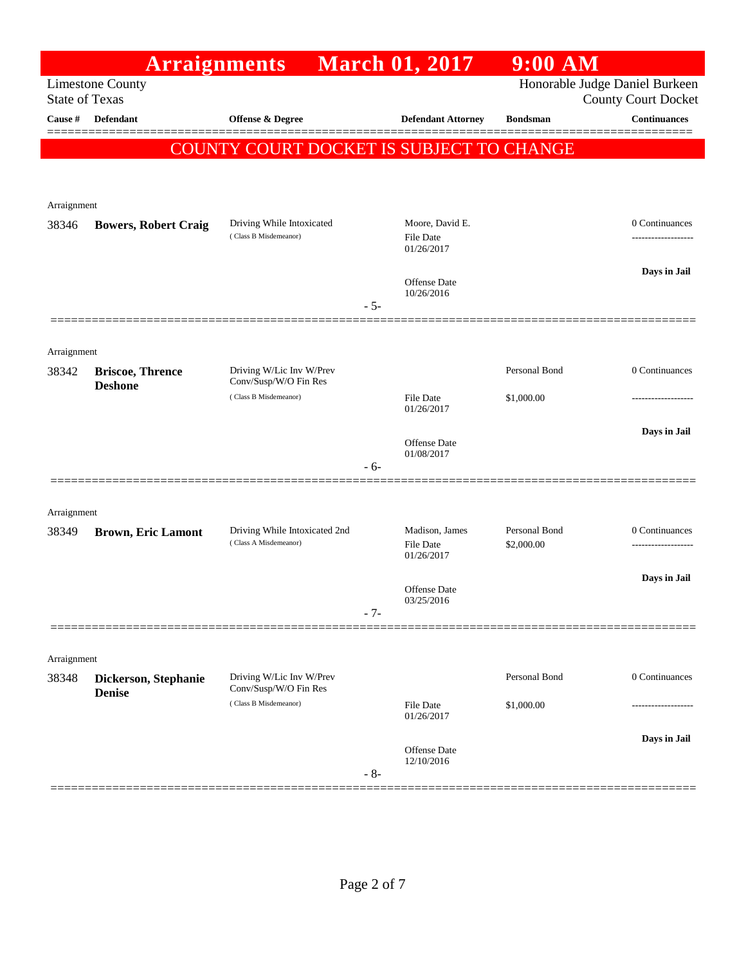|                       | <b>Arraignments</b>                   |                                                        |       | <b>March 01, 2017</b>                             | $9:00$ AM                   |                                                              |
|-----------------------|---------------------------------------|--------------------------------------------------------|-------|---------------------------------------------------|-----------------------------|--------------------------------------------------------------|
| <b>State of Texas</b> | <b>Limestone County</b>               |                                                        |       |                                                   |                             | Honorable Judge Daniel Burkeen<br><b>County Court Docket</b> |
| Cause #               | <b>Defendant</b>                      | Offense & Degree                                       |       | <b>Defendant Attorney</b>                         | <b>Bondsman</b>             | <b>Continuances</b>                                          |
|                       |                                       | COUNTY COURT DOCKET IS SUBJECT TO CHANGE               |       |                                                   |                             |                                                              |
| Arraignment           |                                       |                                                        |       |                                                   |                             |                                                              |
| 38346                 | <b>Bowers, Robert Craig</b>           | Driving While Intoxicated<br>(Class B Misdemeanor)     |       | Moore, David E.<br><b>File Date</b><br>01/26/2017 |                             | 0 Continuances                                               |
|                       |                                       |                                                        | $-5-$ | Offense Date<br>10/26/2016                        |                             | Days in Jail                                                 |
| Arraignment           |                                       |                                                        |       |                                                   |                             |                                                              |
| 38342                 | <b>Briscoe, Thrence</b>               | Driving W/Lic Inv W/Prev<br>Conv/Susp/W/O Fin Res      |       |                                                   | Personal Bond               | 0 Continuances                                               |
|                       | <b>Deshone</b>                        | (Class B Misdemeanor)                                  |       | <b>File Date</b><br>01/26/2017                    | \$1,000.00                  |                                                              |
|                       |                                       |                                                        | - 6-  | Offense Date<br>01/08/2017                        |                             | Days in Jail                                                 |
| Arraignment           |                                       |                                                        |       |                                                   |                             |                                                              |
| 38349                 | <b>Brown, Eric Lamont</b>             | Driving While Intoxicated 2nd<br>(Class A Misdemeanor) |       | Madison, James<br><b>File Date</b><br>01/26/2017  | Personal Bond<br>\$2,000.00 | 0 Continuances                                               |
|                       |                                       |                                                        | $-7-$ | <b>Offense Date</b><br>03/25/2016                 |                             | Days in Jail                                                 |
|                       |                                       |                                                        |       |                                                   |                             |                                                              |
| Arraignment           |                                       |                                                        |       |                                                   |                             |                                                              |
| 38348                 | Dickerson, Stephanie<br><b>Denise</b> | Driving W/Lic Inv W/Prev<br>Conv/Susp/W/O Fin Res      |       |                                                   | Personal Bond               | 0 Continuances                                               |
|                       |                                       | (Class B Misdemeanor)                                  |       | <b>File Date</b><br>01/26/2017                    | \$1,000.00                  |                                                              |
|                       |                                       |                                                        | $-8-$ | <b>Offense Date</b><br>12/10/2016                 |                             | Days in Jail                                                 |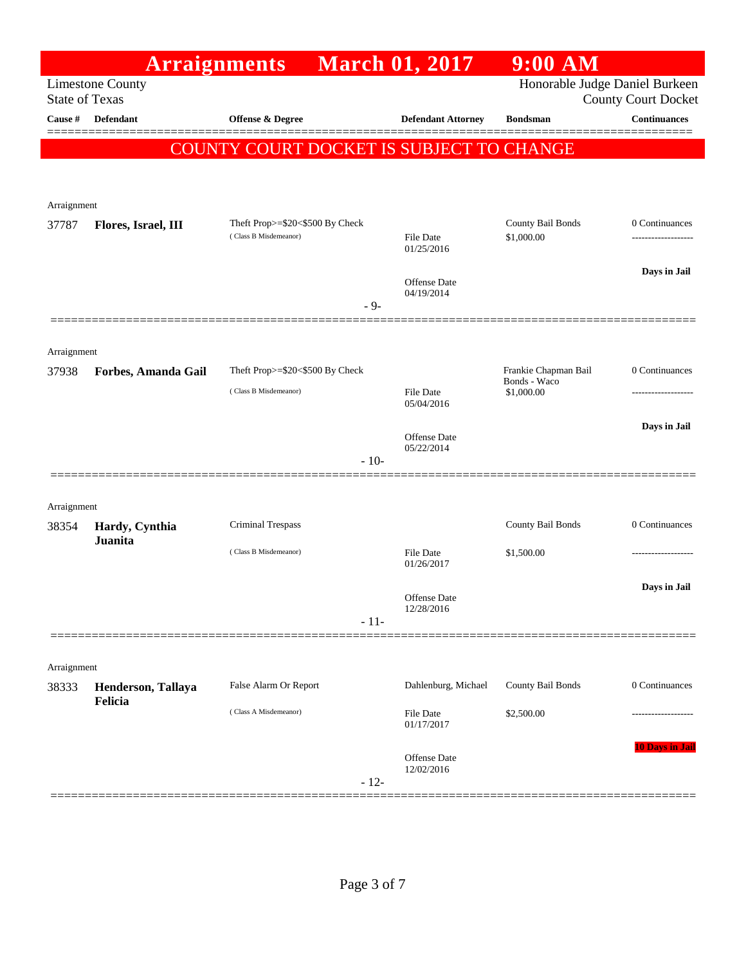|                       | <b>Arraignments</b>     |                                          | <b>March 01, 2017</b>             | $9:00$ AM                            |                            |
|-----------------------|-------------------------|------------------------------------------|-----------------------------------|--------------------------------------|----------------------------|
| <b>State of Texas</b> | <b>Limestone County</b> |                                          |                                   | Honorable Judge Daniel Burkeen       | <b>County Court Docket</b> |
| Cause #               | Defendant               | Offense & Degree                         | <b>Defendant Attorney</b>         | <b>Bondsman</b>                      | <b>Continuances</b>        |
|                       |                         | COUNTY COURT DOCKET IS SUBJECT TO CHANGE |                                   |                                      | ======                     |
|                       |                         |                                          |                                   |                                      |                            |
| Arraignment           |                         |                                          |                                   |                                      |                            |
| 37787                 | Flores, Israel, III     | Theft Prop>=\$20<\$500 By Check          |                                   | County Bail Bonds                    | 0 Continuances             |
|                       |                         | (Class B Misdemeanor)                    | <b>File Date</b><br>01/25/2016    | \$1,000.00                           |                            |
|                       |                         |                                          |                                   |                                      | Days in Jail               |
|                       |                         | $-9-$                                    | <b>Offense Date</b><br>04/19/2014 |                                      |                            |
|                       |                         |                                          |                                   |                                      |                            |
| Arraignment           |                         |                                          |                                   |                                      |                            |
| 37938                 | Forbes, Amanda Gail     | Theft Prop>=\$20<\$500 By Check          |                                   | Frankie Chapman Bail<br>Bonds - Waco | 0 Continuances             |
|                       |                         | (Class B Misdemeanor)                    | File Date<br>05/04/2016           | \$1,000.00                           |                            |
|                       |                         |                                          |                                   |                                      | Days in Jail               |
|                       |                         |                                          | Offense Date<br>05/22/2014        |                                      |                            |
|                       |                         | $-10-$                                   |                                   |                                      |                            |
| Arraignment           |                         |                                          |                                   |                                      |                            |
| 38354                 | Hardy, Cynthia          | <b>Criminal Trespass</b>                 |                                   | County Bail Bonds                    | 0 Continuances             |
|                       | <b>Juanita</b>          | (Class B Misdemeanor)                    | <b>File Date</b>                  | \$1,500.00                           |                            |
|                       |                         |                                          | 01/26/2017                        |                                      |                            |
|                       |                         |                                          | Offense Date<br>12/28/2016        |                                      | Days in Jail               |
|                       |                         | $-11-$                                   |                                   |                                      |                            |
|                       |                         |                                          |                                   |                                      |                            |
| Arraignment           | Henderson, Tallaya      | False Alarm Or Report                    | Dahlenburg, Michael               | County Bail Bonds                    | 0 Continuances             |
| 38333                 | Felicia                 | (Class A Misdemeanor)                    |                                   |                                      |                            |
|                       |                         |                                          | <b>File Date</b><br>01/17/2017    | \$2,500.00                           | ----------------           |
|                       |                         |                                          | Offense Date                      |                                      | 10 Days in Jail            |
|                       |                         | $-12-$                                   | 12/02/2016                        |                                      |                            |
|                       |                         |                                          |                                   |                                      |                            |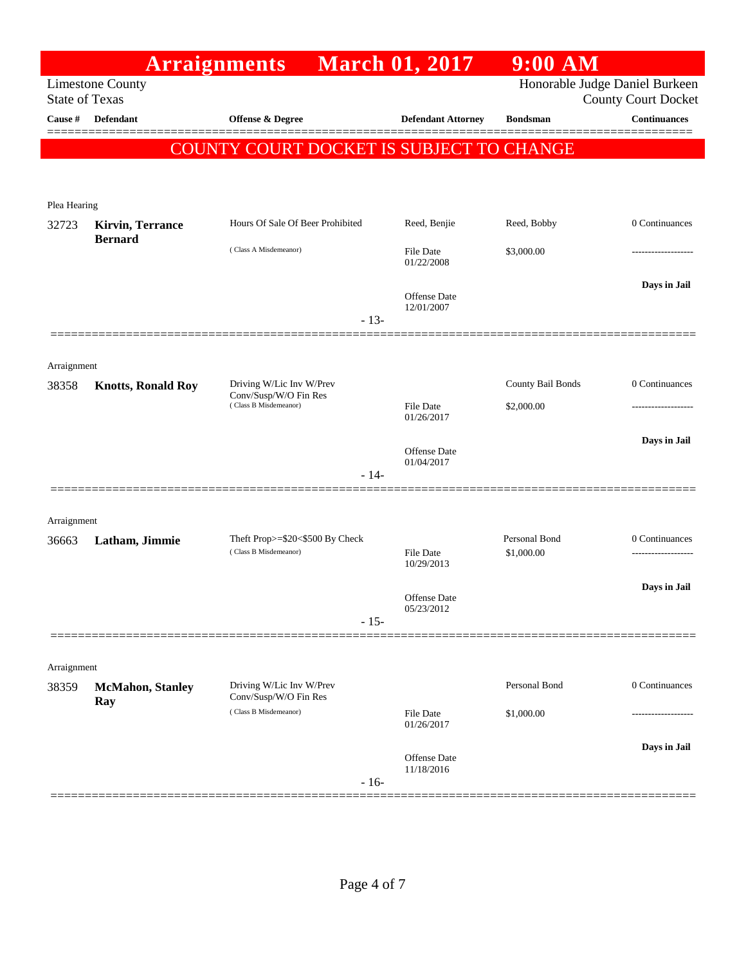|                       |                                 | <b>Arraignments</b>                                      | <b>March 01, 2017</b>             | $9:00$ AM                      |                            |
|-----------------------|---------------------------------|----------------------------------------------------------|-----------------------------------|--------------------------------|----------------------------|
| <b>State of Texas</b> | <b>Limestone County</b>         |                                                          |                                   | Honorable Judge Daniel Burkeen | <b>County Court Docket</b> |
| Cause #               | <b>Defendant</b>                | <b>Offense &amp; Degree</b>                              | <b>Defendant Attorney</b>         | <b>Bondsman</b>                | <b>Continuances</b>        |
|                       | COUN                            | 'Y COURT DOCKET IS SUBJECT TO CHANGE                     |                                   |                                |                            |
|                       |                                 |                                                          |                                   |                                |                            |
| Plea Hearing          |                                 |                                                          |                                   |                                |                            |
| 32723                 | <b>Kirvin, Terrance</b>         | Hours Of Sale Of Beer Prohibited                         | Reed, Benjie                      | Reed, Bobby                    | 0 Continuances             |
|                       | <b>Bernard</b>                  | (Class A Misdemeanor)                                    | <b>File Date</b><br>01/22/2008    | \$3,000.00                     | --------------             |
|                       |                                 | $-13-$                                                   | <b>Offense Date</b><br>12/01/2007 |                                | Days in Jail               |
|                       |                                 |                                                          |                                   |                                |                            |
| Arraignment           |                                 |                                                          |                                   |                                |                            |
| 38358                 | <b>Knotts, Ronald Roy</b>       | Driving W/Lic Inv W/Prev<br>Conv/Susp/W/O Fin Res        |                                   | County Bail Bonds              | 0 Continuances             |
|                       |                                 | (Class B Misdemeanor)                                    | <b>File Date</b><br>01/26/2017    | \$2,000.00                     |                            |
|                       |                                 |                                                          | <b>Offense Date</b>               |                                | Days in Jail               |
|                       |                                 | $-14-$                                                   | 01/04/2017                        |                                |                            |
|                       |                                 |                                                          |                                   |                                |                            |
| Arraignment           |                                 |                                                          |                                   |                                |                            |
| 36663                 | Latham, Jimmie                  | Theft Prop>=\$20<\$500 By Check<br>(Class B Misdemeanor) | File Date<br>10/29/2013           | Personal Bond<br>\$1,000.00    | 0 Continuances             |
|                       |                                 |                                                          |                                   |                                | Days in Jail               |
|                       |                                 | $-15-$                                                   | Offense Date<br>05/23/2012        |                                |                            |
|                       |                                 |                                                          |                                   |                                |                            |
| Arraignment           |                                 |                                                          |                                   |                                |                            |
| 38359                 | <b>McMahon</b> , Stanley<br>Ray | Driving W/Lic Inv W/Prev<br>Conv/Susp/W/O Fin Res        |                                   | Personal Bond                  | 0 Continuances             |
|                       |                                 | (Class B Misdemeanor)                                    | <b>File Date</b><br>01/26/2017    | \$1,000.00                     | .                          |
|                       |                                 |                                                          | Offense Date                      |                                | Days in Jail               |
|                       |                                 | $-16-$                                                   | 11/18/2016                        |                                |                            |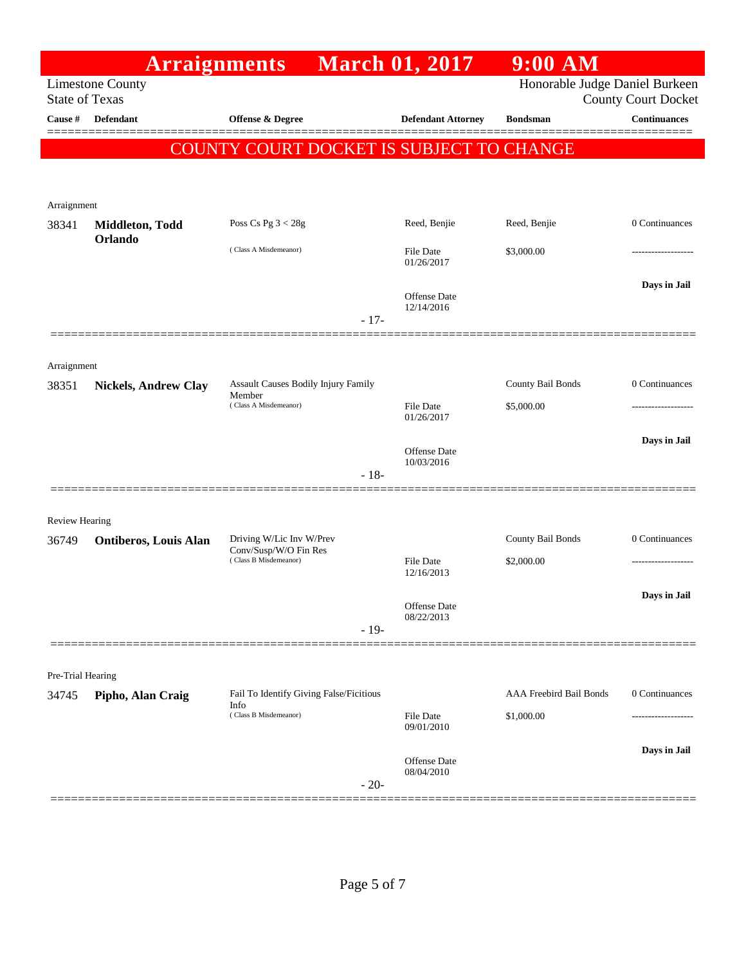| <b>Arraignments</b><br><b>Limestone County</b><br><b>State of Texas</b><br>Cause #<br><b>Defendant</b><br><b>Offense &amp; Degree</b><br><b>Defendant Attorney</b><br><b>Bondsman</b><br>COUNTY COURT DOCKET IS SUBJECT TO CHANGE<br>Arraignment<br>Poss Cs Pg $3 < 28g$<br>Reed, Benjie<br>Reed, Benjie<br>38341<br>Middleton, Todd<br>Orlando<br>(Class A Misdemeanor)<br>\$3,000.00<br>File Date<br>01/26/2017<br>Offense Date<br>12/14/2016<br>$-17-$ | $9:00$ AM                                                    |
|-----------------------------------------------------------------------------------------------------------------------------------------------------------------------------------------------------------------------------------------------------------------------------------------------------------------------------------------------------------------------------------------------------------------------------------------------------------|--------------------------------------------------------------|
|                                                                                                                                                                                                                                                                                                                                                                                                                                                           | Honorable Judge Daniel Burkeen<br><b>County Court Docket</b> |
|                                                                                                                                                                                                                                                                                                                                                                                                                                                           | <b>Continuances</b>                                          |
|                                                                                                                                                                                                                                                                                                                                                                                                                                                           |                                                              |
|                                                                                                                                                                                                                                                                                                                                                                                                                                                           |                                                              |
|                                                                                                                                                                                                                                                                                                                                                                                                                                                           | 0 Continuances                                               |
|                                                                                                                                                                                                                                                                                                                                                                                                                                                           |                                                              |
|                                                                                                                                                                                                                                                                                                                                                                                                                                                           | Days in Jail                                                 |
|                                                                                                                                                                                                                                                                                                                                                                                                                                                           |                                                              |
| Arraignment<br>County Bail Bonds<br>Assault Causes Bodily Injury Family<br>38351<br><b>Nickels, Andrew Clay</b>                                                                                                                                                                                                                                                                                                                                           | 0 Continuances                                               |
| Member<br>(Class A Misdemeanor)<br>File Date<br>\$5,000.00<br>01/26/2017                                                                                                                                                                                                                                                                                                                                                                                  |                                                              |
| Offense Date<br>10/03/2016<br>$-18-$                                                                                                                                                                                                                                                                                                                                                                                                                      | Days in Jail                                                 |
| <b>Review Hearing</b>                                                                                                                                                                                                                                                                                                                                                                                                                                     |                                                              |
| County Bail Bonds<br>Driving W/Lic Inv W/Prev<br><b>Ontiberos, Louis Alan</b><br>36749                                                                                                                                                                                                                                                                                                                                                                    | 0 Continuances                                               |
| Conv/Susp/W/O Fin Res<br>(Class B Misdemeanor)<br>\$2,000.00<br>File Date<br>12/16/2013                                                                                                                                                                                                                                                                                                                                                                   | .                                                            |
| Offense Date<br>08/22/2013<br>$-19-$                                                                                                                                                                                                                                                                                                                                                                                                                      | Days in Jail                                                 |
|                                                                                                                                                                                                                                                                                                                                                                                                                                                           |                                                              |
| Pre-Trial Hearing                                                                                                                                                                                                                                                                                                                                                                                                                                         |                                                              |
| Fail To Identify Giving False/Ficitious<br><b>AAA Freebird Bail Bonds</b><br>34745<br>Pipho, Alan Craig<br>Info<br>(Class B Misdemeanor)                                                                                                                                                                                                                                                                                                                  | 0 Continuances                                               |
| \$1,000.00<br>File Date<br>09/01/2010                                                                                                                                                                                                                                                                                                                                                                                                                     |                                                              |
| Offense Date<br>08/04/2010<br>$-20-$                                                                                                                                                                                                                                                                                                                                                                                                                      | Days in Jail                                                 |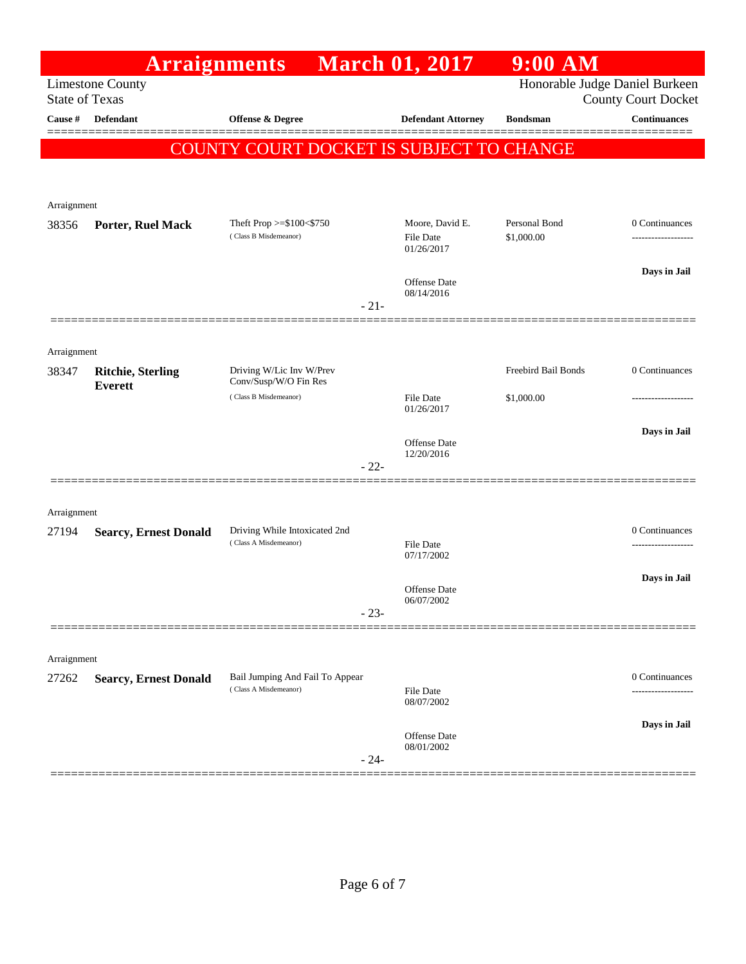|                       | <b>Arraignments</b>                        |                                                   | <b>March 01, 2017</b>                      | $9:00$ AM                   |                                                              |
|-----------------------|--------------------------------------------|---------------------------------------------------|--------------------------------------------|-----------------------------|--------------------------------------------------------------|
| <b>State of Texas</b> | <b>Limestone County</b>                    |                                                   |                                            |                             | Honorable Judge Daniel Burkeen<br><b>County Court Docket</b> |
| Cause #               | Defendant                                  | <b>Offense &amp; Degree</b>                       | <b>Defendant Attorney</b>                  | <b>Bondsman</b>             | <b>Continuances</b>                                          |
|                       |                                            |                                                   |                                            |                             |                                                              |
|                       |                                            | COUNTY COURT DOCKET IS SUBJECT TO CHANGE          |                                            |                             |                                                              |
|                       |                                            |                                                   |                                            |                             |                                                              |
| Arraignment           |                                            |                                                   |                                            |                             |                                                              |
| 38356                 | Porter, Ruel Mack                          | Theft Prop >=\$100<\$750<br>(Class B Misdemeanor) | Moore, David E.<br>File Date<br>01/26/2017 | Personal Bond<br>\$1,000.00 | 0 Continuances<br>-------------------                        |
|                       |                                            |                                                   | Offense Date<br>08/14/2016                 |                             | Days in Jail                                                 |
|                       |                                            | $-21-$                                            |                                            |                             |                                                              |
| Arraignment           |                                            |                                                   |                                            |                             |                                                              |
| 38347                 | <b>Ritchie, Sterling</b><br><b>Everett</b> | Driving W/Lic Inv W/Prev<br>Conv/Susp/W/O Fin Res |                                            | Freebird Bail Bonds         | 0 Continuances                                               |
|                       |                                            | (Class B Misdemeanor)                             | <b>File Date</b><br>01/26/2017             | \$1,000.00                  |                                                              |
|                       |                                            |                                                   |                                            |                             | Days in Jail                                                 |
|                       |                                            |                                                   | Offense Date<br>12/20/2016                 |                             |                                                              |
|                       |                                            | $-22-$                                            |                                            |                             |                                                              |
| Arraignment           |                                            |                                                   |                                            |                             |                                                              |
| 27194                 | <b>Searcy, Ernest Donald</b>               | Driving While Intoxicated 2nd                     |                                            |                             | 0 Continuances                                               |
|                       |                                            | (Class A Misdemeanor)                             | <b>File Date</b><br>07/17/2002             |                             | ------------------                                           |
|                       |                                            |                                                   |                                            |                             | Days in Jail                                                 |
|                       |                                            |                                                   | Offense Date<br>06/07/2002                 |                             |                                                              |
|                       |                                            | $-23-$                                            |                                            |                             |                                                              |
| Arraignment           |                                            |                                                   |                                            |                             |                                                              |
| 27262                 | <b>Searcy, Ernest Donald</b>               | Bail Jumping And Fail To Appear                   |                                            |                             | 0 Continuances                                               |
|                       |                                            | (Class A Misdemeanor)                             | <b>File Date</b><br>08/07/2002             |                             |                                                              |
|                       |                                            |                                                   |                                            |                             | Days in Jail                                                 |
|                       |                                            | $-24-$                                            | Offense Date<br>08/01/2002                 |                             |                                                              |